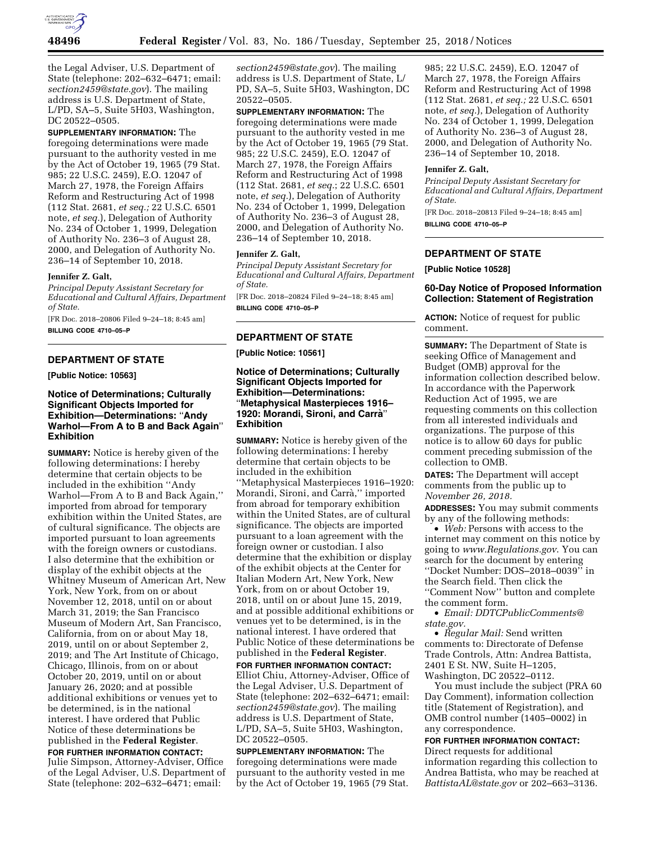

the Legal Adviser, U.S. Department of State (telephone: 202–632–6471; email: *[section2459@state.gov](mailto:section2459@state.gov)*). The mailing address is U.S. Department of State, L/PD, SA–5, Suite 5H03, Washington, DC 20522–0505.

**SUPPLEMENTARY INFORMATION:** The foregoing determinations were made pursuant to the authority vested in me by the Act of October 19, 1965 (79 Stat. 985; 22 U.S.C. 2459), E.O. 12047 of March 27, 1978, the Foreign Affairs Reform and Restructuring Act of 1998 (112 Stat. 2681, *et seq.;* 22 U.S.C. 6501 note, *et seq.*), Delegation of Authority No. 234 of October 1, 1999, Delegation of Authority No. 236–3 of August 28, 2000, and Delegation of Authority No. 236–14 of September 10, 2018.

#### **Jennifer Z. Galt,**

*Principal Deputy Assistant Secretary for Educational and Cultural Affairs, Department of State.* 

[FR Doc. 2018–20806 Filed 9–24–18; 8:45 am] **BILLING CODE 4710–05–P** 

# **DEPARTMENT OF STATE**

**[Public Notice: 10563]** 

## **Notice of Determinations; Culturally Significant Objects Imported for Exhibition—Determinations:** ''**Andy Warhol—From A to B and Back Again**'' **Exhibition**

**SUMMARY:** Notice is hereby given of the following determinations: I hereby determine that certain objects to be included in the exhibition ''Andy Warhol—From A to B and Back Again,'' imported from abroad for temporary exhibition within the United States, are of cultural significance. The objects are imported pursuant to loan agreements with the foreign owners or custodians. I also determine that the exhibition or display of the exhibit objects at the Whitney Museum of American Art, New York, New York, from on or about November 12, 2018, until on or about March 31, 2019; the San Francisco Museum of Modern Art, San Francisco, California, from on or about May 18, 2019, until on or about September 2, 2019; and The Art Institute of Chicago, Chicago, Illinois, from on or about October 20, 2019, until on or about January 26, 2020; and at possible additional exhibitions or venues yet to be determined, is in the national interest. I have ordered that Public Notice of these determinations be published in the **Federal Register**.

# **FOR FURTHER INFORMATION CONTACT:**

Julie Simpson, Attorney-Adviser, Office of the Legal Adviser, U.S. Department of State (telephone: 202–632–6471; email:

*[section2459@state.gov](mailto:section2459@state.gov)*). The mailing address is U.S. Department of State, L/ PD, SA–5, Suite 5H03, Washington, DC 20522–0505.

**SUPPLEMENTARY INFORMATION:** The foregoing determinations were made pursuant to the authority vested in me by the Act of October 19, 1965 (79 Stat. 985; 22 U.S.C. 2459), E.O. 12047 of March 27, 1978, the Foreign Affairs Reform and Restructuring Act of 1998 (112 Stat. 2681, *et seq.*; 22 U.S.C. 6501 note, *et seq.*), Delegation of Authority No. 234 of October 1, 1999, Delegation of Authority No. 236–3 of August 28, 2000, and Delegation of Authority No. 236–14 of September 10, 2018.

#### **Jennifer Z. Galt,**

*Principal Deputy Assistant Secretary for Educational and Cultural Affairs, Department of State.* 

[FR Doc. 2018–20824 Filed 9–24–18; 8:45 am] **BILLING CODE 4710–05–P** 

### **DEPARTMENT OF STATE**

**[Public Notice: 10561]** 

## **Notice of Determinations; Culturally Significant Objects Imported for Exhibition—Determinations:**  ''**Metaphysical Masterpieces 1916– 1920: Morandi, Sironi, and Carra`**'' **Exhibition**

**SUMMARY:** Notice is hereby given of the following determinations: I hereby determine that certain objects to be included in the exhibition ''Metaphysical Masterpieces 1916–1920: Morandi, Sironi, and Carrà," imported from abroad for temporary exhibition within the United States, are of cultural significance. The objects are imported pursuant to a loan agreement with the foreign owner or custodian. I also determine that the exhibition or display of the exhibit objects at the Center for Italian Modern Art, New York, New York, from on or about October 19, 2018, until on or about June 15, 2019, and at possible additional exhibitions or venues yet to be determined, is in the national interest. I have ordered that Public Notice of these determinations be published in the **Federal Register**.

**FOR FURTHER INFORMATION CONTACT:**  Elliot Chiu, Attorney-Adviser, Office of the Legal Adviser, U.S. Department of State (telephone: 202–632–6471; email: *[section2459@state.gov](mailto:section2459@state.gov)*). The mailing address is U.S. Department of State, L/PD, SA–5, Suite 5H03, Washington, DC 20522–0505.

**SUPPLEMENTARY INFORMATION:** The foregoing determinations were made pursuant to the authority vested in me by the Act of October 19, 1965 (79 Stat.

985; 22 U.S.C. 2459), E.O. 12047 of March 27, 1978, the Foreign Affairs Reform and Restructuring Act of 1998 (112 Stat. 2681, *et seq.;* 22 U.S.C. 6501 note, *et seq.*), Delegation of Authority No. 234 of October 1, 1999, Delegation of Authority No. 236–3 of August 28, 2000, and Delegation of Authority No. 236–14 of September 10, 2018.

#### **Jennifer Z. Galt,**

*Principal Deputy Assistant Secretary for Educational and Cultural Affairs, Department of State.* 

[FR Doc. 2018–20813 Filed 9–24–18; 8:45 am] **BILLING CODE 4710–05–P** 

## **DEPARTMENT OF STATE**

**[Public Notice 10528]** 

## **60-Day Notice of Proposed Information Collection: Statement of Registration**

**ACTION:** Notice of request for public comment.

**SUMMARY:** The Department of State is seeking Office of Management and Budget (OMB) approval for the information collection described below. In accordance with the Paperwork Reduction Act of 1995, we are requesting comments on this collection from all interested individuals and organizations. The purpose of this notice is to allow 60 days for public comment preceding submission of the collection to OMB.

**DATES:** The Department will accept comments from the public up to *November 26, 2018.* 

**ADDRESSES:** You may submit comments by any of the following methods:

• *Web:* Persons with access to the internet may comment on this notice by going to *[www.Regulations.gov](http://www.Regulations.gov)*. You can search for the document by entering ''Docket Number: DOS–2018–0039'' in the Search field. Then click the ''Comment Now'' button and complete the comment form.

• *Email: [DDTCPublicComments@](mailto:DDTCPublicComments@state.gov) [state.gov.](mailto:DDTCPublicComments@state.gov)* 

• *Regular Mail:* Send written comments to: Directorate of Defense Trade Controls, Attn: Andrea Battista, 2401 E St. NW, Suite H–1205, Washington, DC 20522–0112.

You must include the subject (PRA 60 Day Comment), information collection title (Statement of Registration), and OMB control number (1405–0002) in any correspondence.

# **FOR FURTHER INFORMATION CONTACT:**  Direct requests for additional

information regarding this collection to Andrea Battista, who may be reached at *[BattistaAL@state.gov](mailto:BattistaAL@state.gov)* or 202–663–3136.